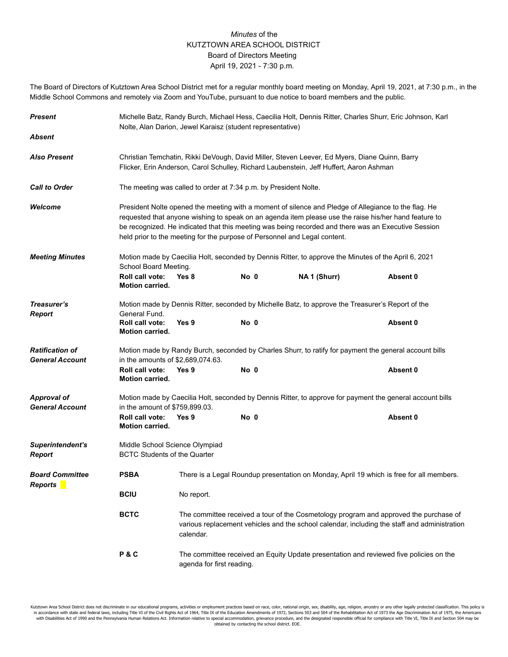## *Minutes* of the KUTZTOWN AREA SCHOOL DISTRICT Board of Directors Meeting April 19, 2021 - 7:30 p.m.

The Board of Directors of Kutztown Area School District met for a regular monthly board meeting on Monday, April 19, 2021, at 7:30 p.m., in the Middle School Commons and remotely via Zoom and YouTube, pursuant to due notice to board members and the public.

| <b>Present</b>                                   | Michelle Batz, Randy Burch, Michael Hess, Caecilia Holt, Dennis Ritter, Charles Shurr, Eric Johnson, Karl<br>Nolte, Alan Darion, Jewel Karaisz (student representative)                                                                                                                                                                                                                           |                                                                                                                                                                                                    |      |              |          |  |  |
|--------------------------------------------------|---------------------------------------------------------------------------------------------------------------------------------------------------------------------------------------------------------------------------------------------------------------------------------------------------------------------------------------------------------------------------------------------------|----------------------------------------------------------------------------------------------------------------------------------------------------------------------------------------------------|------|--------------|----------|--|--|
| <b>Absent</b>                                    |                                                                                                                                                                                                                                                                                                                                                                                                   |                                                                                                                                                                                                    |      |              |          |  |  |
| <b>Also Present</b>                              | Christian Temchatin, Rikki DeVough, David Miller, Steven Leever, Ed Myers, Diane Quinn, Barry<br>Flicker, Erin Anderson, Carol Schulley, Richard Laubenstein, Jeff Huffert, Aaron Ashman                                                                                                                                                                                                          |                                                                                                                                                                                                    |      |              |          |  |  |
| <b>Call to Order</b>                             | The meeting was called to order at 7:34 p.m. by President Nolte.                                                                                                                                                                                                                                                                                                                                  |                                                                                                                                                                                                    |      |              |          |  |  |
| Welcome                                          | President Nolte opened the meeting with a moment of silence and Pledge of Allegiance to the flag. He<br>requested that anyone wishing to speak on an agenda item please use the raise his/her hand feature to<br>be recognized. He indicated that this meeting was being recorded and there was an Executive Session<br>held prior to the meeting for the purpose of Personnel and Legal content. |                                                                                                                                                                                                    |      |              |          |  |  |
| <b>Meeting Minutes</b>                           | Motion made by Caecilia Holt, seconded by Dennis Ritter, to approve the Minutes of the April 6, 2021<br>School Board Meeting.                                                                                                                                                                                                                                                                     |                                                                                                                                                                                                    |      |              |          |  |  |
|                                                  | Roll call vote:<br><b>Motion carried.</b>                                                                                                                                                                                                                                                                                                                                                         | Yes 8                                                                                                                                                                                              | No 0 | NA 1 (Shurr) | Absent 0 |  |  |
| Treasurer's                                      | Motion made by Dennis Ritter, seconded by Michelle Batz, to approve the Treasurer's Report of the                                                                                                                                                                                                                                                                                                 |                                                                                                                                                                                                    |      |              |          |  |  |
| <b>Report</b>                                    | General Fund.<br>Roll call vote:<br><b>Motion carried.</b>                                                                                                                                                                                                                                                                                                                                        | Yes 9                                                                                                                                                                                              | No 0 |              | Absent 0 |  |  |
| <b>Ratification of</b><br><b>General Account</b> | Motion made by Randy Burch, seconded by Charles Shurr, to ratify for payment the general account bills<br>in the amounts of \$2,689,074.63.                                                                                                                                                                                                                                                       |                                                                                                                                                                                                    |      |              |          |  |  |
|                                                  | Roll call vote:<br><b>Motion carried.</b>                                                                                                                                                                                                                                                                                                                                                         | Yes 9                                                                                                                                                                                              | No 0 |              | Absent 0 |  |  |
| <b>Approval of</b><br><b>General Account</b>     | Motion made by Caecilia Holt, seconded by Dennis Ritter, to approve for payment the general account bills<br>in the amount of \$759,899.03.                                                                                                                                                                                                                                                       |                                                                                                                                                                                                    |      |              |          |  |  |
|                                                  | Roll call vote:<br><b>Motion carried.</b>                                                                                                                                                                                                                                                                                                                                                         | Yes 9                                                                                                                                                                                              | No 0 |              | Absent 0 |  |  |
| Superintendent's<br><b>Report</b>                | Middle School Science Olympiad<br><b>BCTC Students of the Quarter</b>                                                                                                                                                                                                                                                                                                                             |                                                                                                                                                                                                    |      |              |          |  |  |
| <b>Board Committee</b><br><b>Reports</b>         | <b>PSBA</b><br>There is a Legal Roundup presentation on Monday, April 19 which is free for all members.                                                                                                                                                                                                                                                                                           |                                                                                                                                                                                                    |      |              |          |  |  |
|                                                  | <b>BCIU</b>                                                                                                                                                                                                                                                                                                                                                                                       | No report.                                                                                                                                                                                         |      |              |          |  |  |
|                                                  | <b>BCTC</b>                                                                                                                                                                                                                                                                                                                                                                                       | The committee received a tour of the Cosmetology program and approved the purchase of<br>various replacement vehicles and the school calendar, including the staff and administration<br>calendar. |      |              |          |  |  |
|                                                  | P&C                                                                                                                                                                                                                                                                                                                                                                                               | The committee received an Equity Update presentation and reviewed five policies on the<br>agenda for first reading.                                                                                |      |              |          |  |  |

Kutztown Area School District does not discriminate in our educational programs, activities or employment practices based on race, color, national origin, sex, disability, age, religion, ancestry or any other legally prote obtained by contacting the school district. EOE.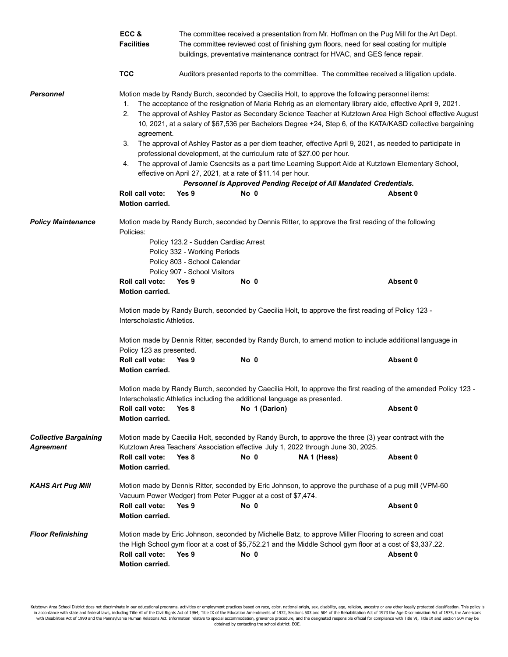|                                                  | ECC &<br><b>Facilities</b>                                                                                                                                                                                                | The committee received a presentation from Mr. Hoffman on the Pug Mill for the Art Dept.<br>The committee reviewed cost of finishing gym floors, need for seal coating for multiple<br>buildings, preventative maintenance contract for HVAC, and GES fence repair.                                                                                                                                                                                                                                                                                                                                                                                                                                                                                                                                                                                                                                    |               |                                                                                                                                                                                                                     |          |  |  |
|--------------------------------------------------|---------------------------------------------------------------------------------------------------------------------------------------------------------------------------------------------------------------------------|--------------------------------------------------------------------------------------------------------------------------------------------------------------------------------------------------------------------------------------------------------------------------------------------------------------------------------------------------------------------------------------------------------------------------------------------------------------------------------------------------------------------------------------------------------------------------------------------------------------------------------------------------------------------------------------------------------------------------------------------------------------------------------------------------------------------------------------------------------------------------------------------------------|---------------|---------------------------------------------------------------------------------------------------------------------------------------------------------------------------------------------------------------------|----------|--|--|
|                                                  | <b>TCC</b>                                                                                                                                                                                                                | Auditors presented reports to the committee. The committee received a litigation update.                                                                                                                                                                                                                                                                                                                                                                                                                                                                                                                                                                                                                                                                                                                                                                                                               |               |                                                                                                                                                                                                                     |          |  |  |
| <b>Personnel</b>                                 | 1.<br>2.<br>agreement.<br>3.<br>4.<br>Roll call vote:<br><b>Motion carried.</b>                                                                                                                                           | Motion made by Randy Burch, seconded by Caecilia Holt, to approve the following personnel items:<br>The acceptance of the resignation of Maria Rehrig as an elementary library aide, effective April 9, 2021.<br>The approval of Ashley Pastor as Secondary Science Teacher at Kutztown Area High School effective August<br>10, 2021, at a salary of \$67,536 per Bachelors Degree +24, Step 6, of the KATA/KASD collective bargaining<br>The approval of Ashley Pastor as a per diem teacher, effective April 9, 2021, as needed to participate in<br>professional development, at the curriculum rate of \$27.00 per hour.<br>The approval of Jamie Csencsits as a part time Learning Support Aide at Kutztown Elementary School,<br>effective on April 27, 2021, at a rate of \$11.14 per hour.<br>Personnel is Approved Pending Receipt of All Mandated Credentials.<br>Yes 9<br>No 0<br>Absent 0 |               |                                                                                                                                                                                                                     |          |  |  |
| <b>Policy Maintenance</b>                        | Motion made by Randy Burch, seconded by Dennis Ritter, to approve the first reading of the following<br>Policies:<br>Policy 123.2 - Sudden Cardiac Arrest<br>Policy 332 - Working Periods<br>Policy 803 - School Calendar |                                                                                                                                                                                                                                                                                                                                                                                                                                                                                                                                                                                                                                                                                                                                                                                                                                                                                                        |               |                                                                                                                                                                                                                     |          |  |  |
|                                                  | Roll call vote:<br><b>Motion carried.</b>                                                                                                                                                                                 | Policy 907 - School Visitors<br>Yes 9                                                                                                                                                                                                                                                                                                                                                                                                                                                                                                                                                                                                                                                                                                                                                                                                                                                                  | No 0          |                                                                                                                                                                                                                     | Absent 0 |  |  |
|                                                  | Motion made by Randy Burch, seconded by Caecilia Holt, to approve the first reading of Policy 123 -<br>Interscholastic Athletics.                                                                                         |                                                                                                                                                                                                                                                                                                                                                                                                                                                                                                                                                                                                                                                                                                                                                                                                                                                                                                        |               |                                                                                                                                                                                                                     |          |  |  |
|                                                  | Motion made by Dennis Ritter, seconded by Randy Burch, to amend motion to include additional language in<br>Policy 123 as presented.                                                                                      |                                                                                                                                                                                                                                                                                                                                                                                                                                                                                                                                                                                                                                                                                                                                                                                                                                                                                                        |               |                                                                                                                                                                                                                     |          |  |  |
|                                                  | Roll call vote:<br><b>Motion carried.</b>                                                                                                                                                                                 | Yes 9                                                                                                                                                                                                                                                                                                                                                                                                                                                                                                                                                                                                                                                                                                                                                                                                                                                                                                  | No 0          |                                                                                                                                                                                                                     | Absent 0 |  |  |
|                                                  | Motion made by Randy Burch, seconded by Caecilia Holt, to approve the first reading of the amended Policy 123 -<br>Interscholastic Athletics including the additional language as presented.                              |                                                                                                                                                                                                                                                                                                                                                                                                                                                                                                                                                                                                                                                                                                                                                                                                                                                                                                        |               |                                                                                                                                                                                                                     |          |  |  |
|                                                  | Roll call vote:<br>Motion carried.                                                                                                                                                                                        | Yes 8                                                                                                                                                                                                                                                                                                                                                                                                                                                                                                                                                                                                                                                                                                                                                                                                                                                                                                  | No 1 (Darion) |                                                                                                                                                                                                                     | Absent 0 |  |  |
| <b>Collective Bargaining</b><br><b>Agreement</b> | Motion made by Caecilia Holt, seconded by Randy Burch, to approve the three (3) year contract with the<br>Kutztown Area Teachers' Association effective July 1, 2022 through June 30, 2025.                               |                                                                                                                                                                                                                                                                                                                                                                                                                                                                                                                                                                                                                                                                                                                                                                                                                                                                                                        |               |                                                                                                                                                                                                                     |          |  |  |
|                                                  | Roll call vote:<br>Motion carried.                                                                                                                                                                                        | Yes 8                                                                                                                                                                                                                                                                                                                                                                                                                                                                                                                                                                                                                                                                                                                                                                                                                                                                                                  | No 0          | NA 1 (Hess)                                                                                                                                                                                                         | Absent 0 |  |  |
| <b>KAHS Art Pug Mill</b>                         | Motion made by Dennis Ritter, seconded by Eric Johnson, to approve the purchase of a pug mill (VPM-60)<br>Vacuum Power Wedger) from Peter Pugger at a cost of \$7,474.                                                    |                                                                                                                                                                                                                                                                                                                                                                                                                                                                                                                                                                                                                                                                                                                                                                                                                                                                                                        |               |                                                                                                                                                                                                                     |          |  |  |
|                                                  | Roll call vote:<br>Motion carried.                                                                                                                                                                                        | Yes 9                                                                                                                                                                                                                                                                                                                                                                                                                                                                                                                                                                                                                                                                                                                                                                                                                                                                                                  | No 0          |                                                                                                                                                                                                                     | Absent 0 |  |  |
| <b>Floor Refinishing</b>                         | Roll call vote:<br>Motion carried.                                                                                                                                                                                        | Yes 9                                                                                                                                                                                                                                                                                                                                                                                                                                                                                                                                                                                                                                                                                                                                                                                                                                                                                                  | No 0          | Motion made by Eric Johnson, seconded by Michelle Batz, to approve Miller Flooring to screen and coat<br>the High School gym floor at a cost of \$5,752.21 and the Middle School gym floor at a cost of \$3,337.22. | Absent 0 |  |  |

Kutztown Area School District does not discriminate in our educational programs, activities or employment practices based on race, color, national origin, sex, disability, age, religion, ancestry or any other legally prote